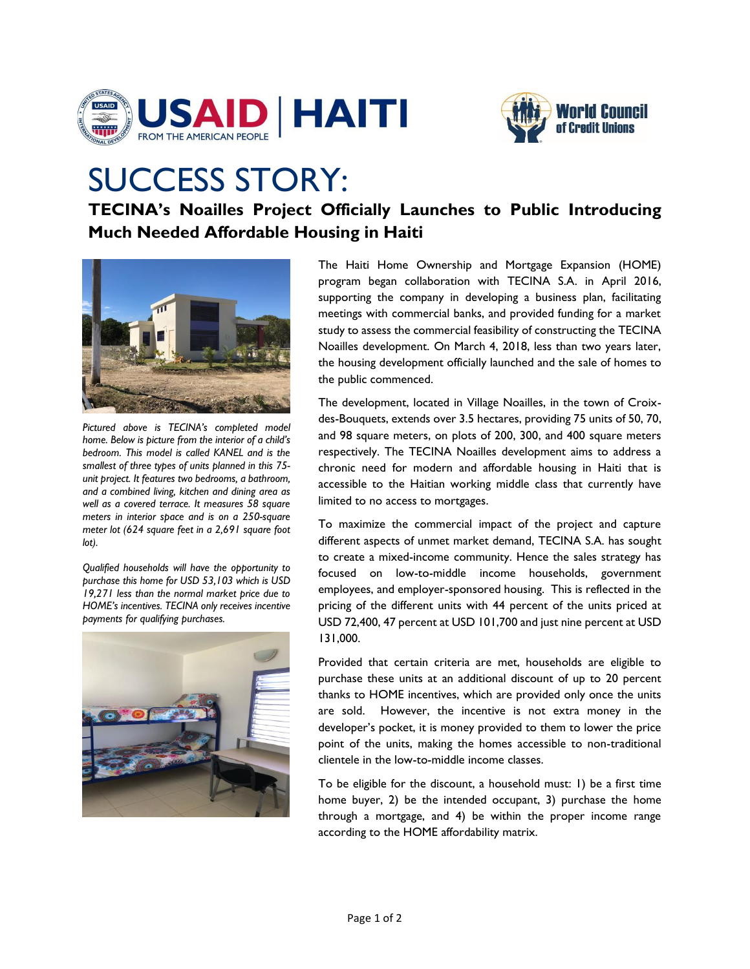



## SUCCESS STORY:

**TECINA's Noailles Project Officially Launches to Public Introducing Much Needed Affordable Housing in Haiti** 



*Pictured above is TECINA's completed model home. Below is picture from the interior of a child's bedroom. This model is called KANEL and is the smallest of three types of units planned in this 75 unit project. It features two bedrooms, a bathroom, and a combined living, kitchen and dining area as well as a covered terrace. It measures 58 square meters in interior space and is on a 250-square meter lot (624 square feet in a 2,691 square foot lot).* 

*Qualified households will have the opportunity to purchase this home for USD 53,103 which is USD 19,271 less than the normal market price due to HOME's incentives. TECINA only receives incentive payments for qualifying purchases.* 



The Haiti Home Ownership and Mortgage Expansion (HOME) program began collaboration with TECINA S.A. in April 2016, supporting the company in developing a business plan, facilitating meetings with commercial banks, and provided funding for a market study to assess the commercial feasibility of constructing the TECINA Noailles development. On March 4, 2018, less than two years later, the housing development officially launched and the sale of homes to the public commenced.

The development, located in Village Noailles, in the town of Croixdes-Bouquets, extends over 3.5 hectares, providing 75 units of 50, 70, and 98 square meters, on plots of 200, 300, and 400 square meters respectively. The TECINA Noailles development aims to address a chronic need for modern and affordable housing in Haiti that is accessible to the Haitian working middle class that currently have limited to no access to mortgages.

To maximize the commercial impact of the project and capture different aspects of unmet market demand, TECINA S.A. has sought to create a mixed-income community. Hence the sales strategy has focused on low-to-middle income households, government employees, and employer-sponsored housing. This is reflected in the pricing of the different units with 44 percent of the units priced at USD 72,400, 47 percent at USD 101,700 and just nine percent at USD 131,000.

Provided that certain criteria are met, households are eligible to purchase these units at an additional discount of up to 20 percent thanks to HOME incentives, which are provided only once the units are sold. However, the incentive is not extra money in the developer's pocket, it is money provided to them to lower the price point of the units, making the homes accessible to non-traditional clientele in the low-to-middle income classes.

To be eligible for the discount, a household must: 1) be a first time home buyer, 2) be the intended occupant, 3) purchase the home through a mortgage, and 4) be within the proper income range according to the HOME affordability matrix.